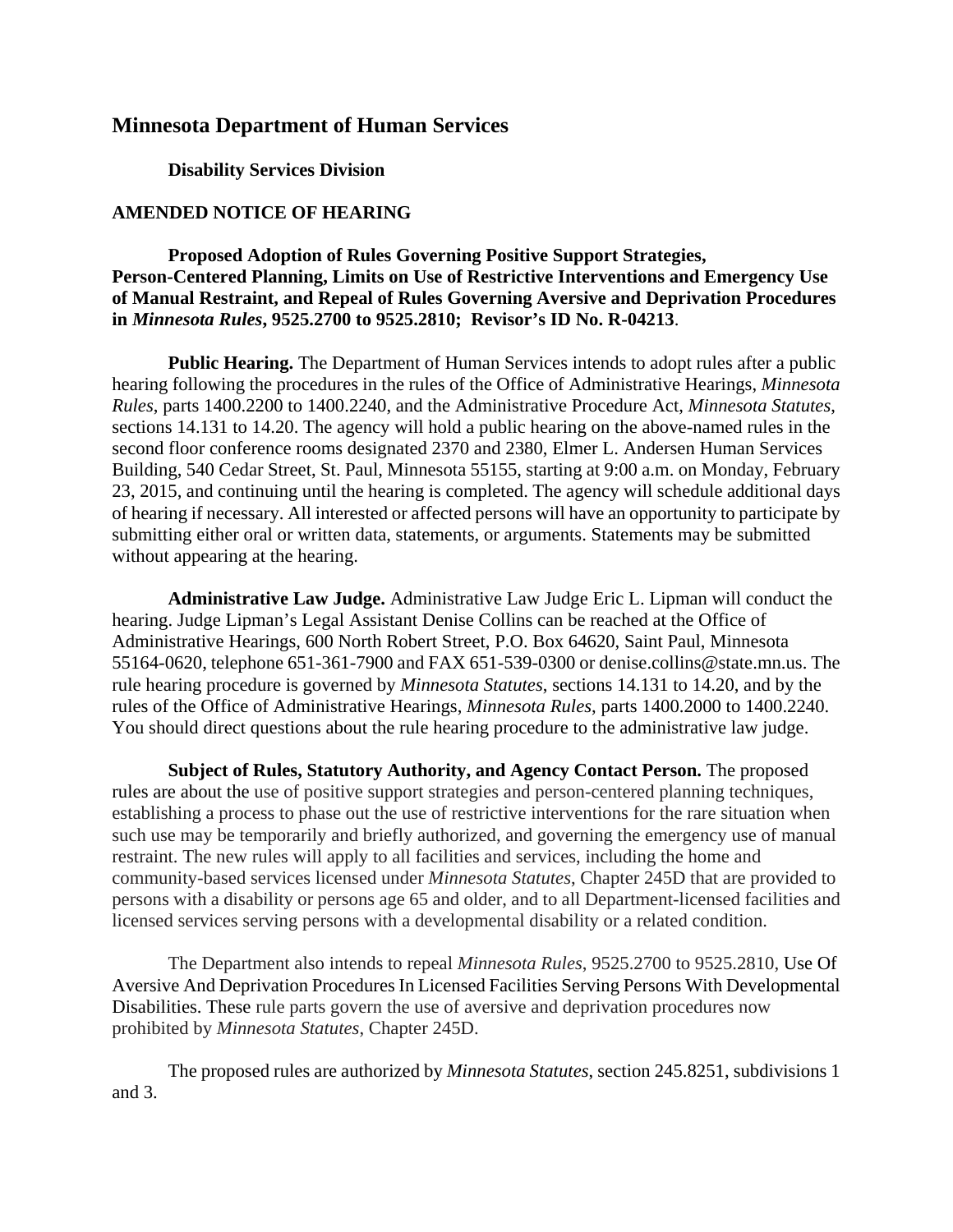## **Minnesota Department of Human Services**

## **Disability Services Division**

## **AMENDED NOTICE OF HEARING**

## **Proposed Adoption of Rules Governing Positive Support Strategies, Person-Centered Planning, Limits on Use of Restrictive Interventions and Emergency Use of Manual Restraint, and Repeal of Rules Governing Aversive and Deprivation Procedures in** *Minnesota Rules***, 9525.2700 to 9525.2810; Revisor's ID No. R-04213**.

**Public Hearing.** The Department of Human Services intends to adopt rules after a public hearing following the procedures in the rules of the Office of Administrative Hearings, *Minnesota Rules*, parts 1400.2200 to 1400.2240, and the Administrative Procedure Act, *Minnesota Statutes*, sections 14.131 to 14.20. The agency will hold a public hearing on the above-named rules in the second floor conference rooms designated 2370 and 2380, Elmer L. Andersen Human Services Building, 540 Cedar Street, St. Paul, Minnesota 55155, starting at 9:00 a.m. on Monday, February 23, 2015, and continuing until the hearing is completed. The agency will schedule additional days of hearing if necessary. All interested or affected persons will have an opportunity to participate by submitting either oral or written data, statements, or arguments. Statements may be submitted without appearing at the hearing.

**Administrative Law Judge.** Administrative Law Judge Eric L. Lipman will conduct the hearing. Judge Lipman's Legal Assistant Denise Collins can be reached at the Office of Administrative Hearings, 600 North Robert Street, P.O. Box 64620, Saint Paul, Minnesota 55164-0620, telephone 651-361-7900 and FAX 651-539-0300 or denise.collins@state.mn.us. The rule hearing procedure is governed by *Minnesota Statutes*, sections 14.131 to 14.20, and by the rules of the Office of Administrative Hearings, *Minnesota Rules*, parts 1400.2000 to 1400.2240. You should direct questions about the rule hearing procedure to the administrative law judge.

**Subject of Rules, Statutory Authority, and Agency Contact Person.** The proposed rules are about the use of positive support strategies and person-centered planning techniques, establishing a process to phase out the use of restrictive interventions for the rare situation when such use may be temporarily and briefly authorized, and governing the emergency use of manual restraint. The new rules will apply to all facilities and services, including the home and community-based services licensed under *Minnesota Statutes*, Chapter 245D that are provided to persons with a disability or persons age 65 and older, and to all Department-licensed facilities and licensed services serving persons with a developmental disability or a related condition.

The Department also intends to repeal *Minnesota Rules*, 9525.2700 to 9525.2810, Use Of Aversive And Deprivation Procedures In Licensed Facilities Serving Persons With Developmental Disabilities. These rule parts govern the use of aversive and deprivation procedures now prohibited by *Minnesota Statutes*, Chapter 245D.

The proposed rules are authorized by *Minnesota Statutes*, section 245.8251, subdivisions 1 and 3.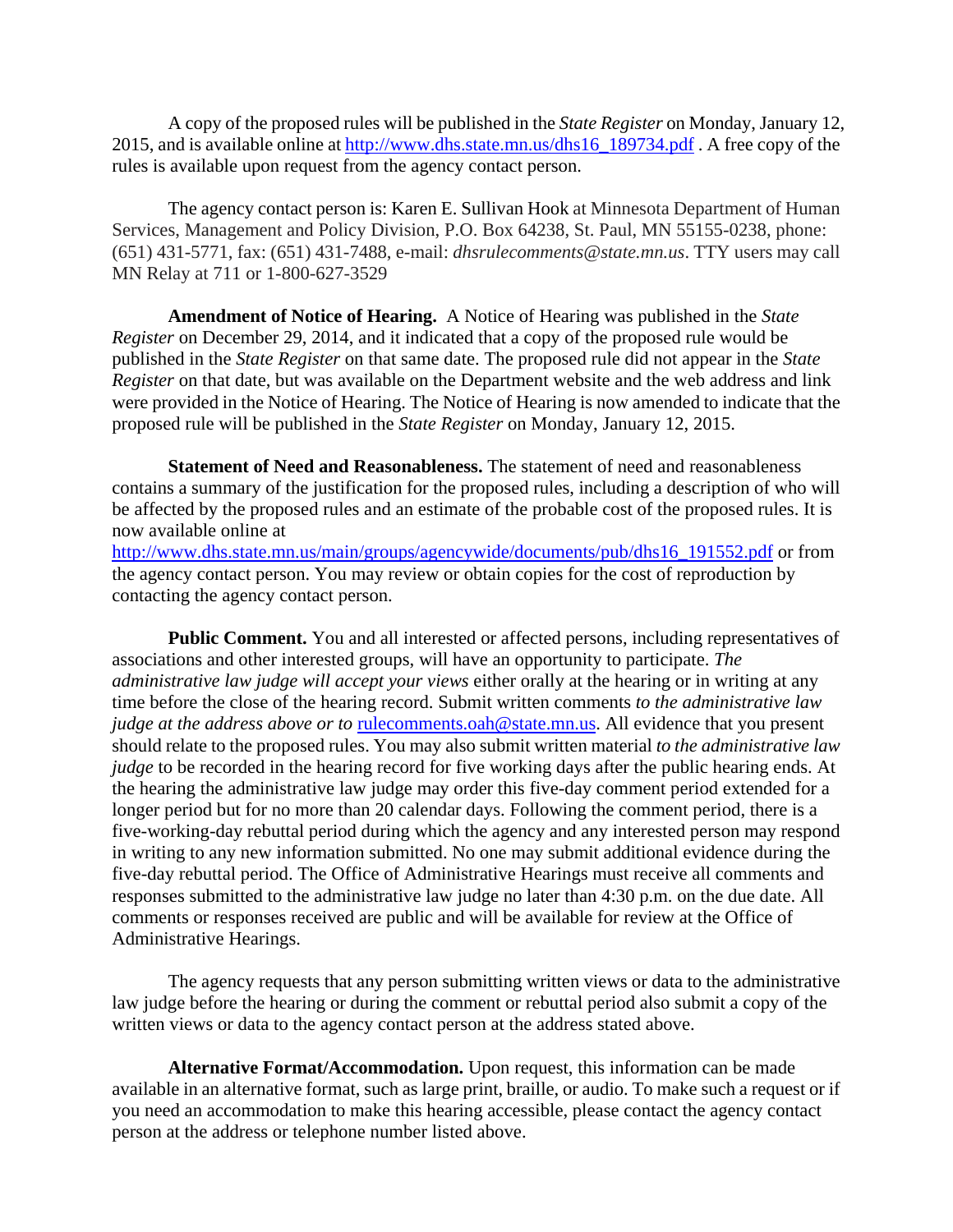A copy of the proposed rules will be published in the *State Register* on Monday, January 12, 2015, and is available online at http://www.dhs.state.mn.us/dhs16\_189734.pdf . A free copy of the rules is available upon request from the agency contact person.

The agency contact person is: Karen E. Sullivan Hook at Minnesota Department of Human Services, Management and Policy Division, P.O. Box 64238, St. Paul, MN 55155-0238, phone: (651) 431-5771, fax: (651) 431-7488, e-mail: *dhsrulecomments@state.mn.us*. TTY users may call MN Relay at 711 or 1-800-627-3529

**Amendment of Notice of Hearing.** A Notice of Hearing was published in the *State Register* on December 29, 2014, and it indicated that a copy of the proposed rule would be published in the *State Register* on that same date. The proposed rule did not appear in the *State Register* on that date, but was available on the Department website and the web address and link were provided in the Notice of Hearing. The Notice of Hearing is now amended to indicate that the proposed rule will be published in the *State Register* on Monday, January 12, 2015.

**Statement of Need and Reasonableness.** The statement of need and reasonableness contains a summary of the justification for the proposed rules, including a description of who will be affected by the proposed rules and an estimate of the probable cost of the proposed rules. It is now available online at

http://www.dhs.state.mn.us/main/groups/agencywide/documents/pub/dhs16\_191552.pdf or from the agency contact person. You may review or obtain copies for the cost of reproduction by contacting the agency contact person.

**Public Comment.** You and all interested or affected persons, including representatives of associations and other interested groups, will have an opportunity to participate. *The administrative law judge will accept your views* either orally at the hearing or in writing at any time before the close of the hearing record. Submit written comments *to the administrative law judge at the address above or to rulecomments.oah@state.mn.us. All evidence that you present* should relate to the proposed rules. You may also submit written material *to the administrative law judge* to be recorded in the hearing record for five working days after the public hearing ends. At the hearing the administrative law judge may order this five-day comment period extended for a longer period but for no more than 20 calendar days. Following the comment period, there is a five-working-day rebuttal period during which the agency and any interested person may respond in writing to any new information submitted. No one may submit additional evidence during the five-day rebuttal period. The Office of Administrative Hearings must receive all comments and responses submitted to the administrative law judge no later than 4:30 p.m. on the due date. All comments or responses received are public and will be available for review at the Office of Administrative Hearings.

The agency requests that any person submitting written views or data to the administrative law judge before the hearing or during the comment or rebuttal period also submit a copy of the written views or data to the agency contact person at the address stated above.

**Alternative Format/Accommodation.** Upon request, this information can be made available in an alternative format, such as large print, braille, or audio. To make such a request or if you need an accommodation to make this hearing accessible, please contact the agency contact person at the address or telephone number listed above.